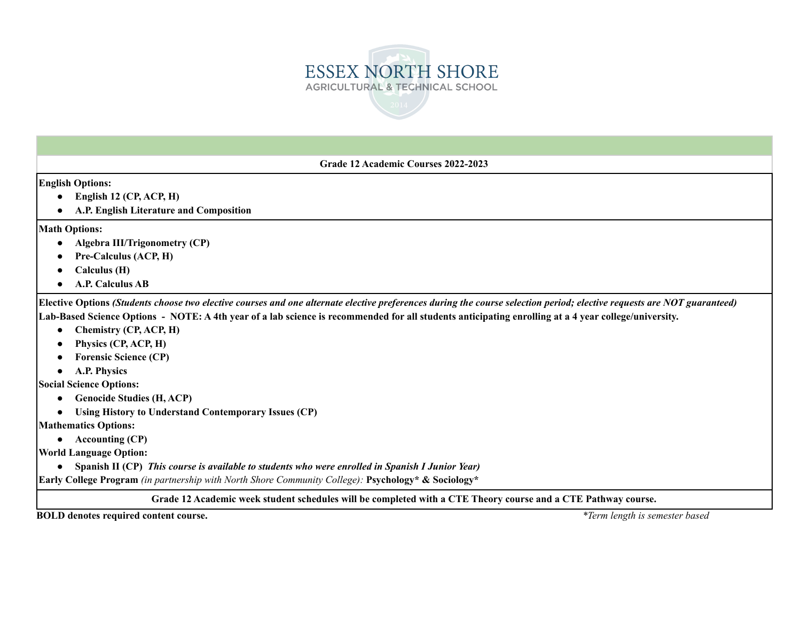

**Grade 12 Academic Courses 2022-2023**

**English Options:**

- **● English 12 (CP, ACP, H)**
- **● A.P. English Literature and Composition**

**Math Options:**

- **● Algebra III/Trigonometry (CP)**
- **● Pre-Calculus (ACP, H)**
- **● Calculus (H)**
- **● A.P. Calculus AB**

Elective Options (Students choose two elective courses and one alternate elective preferences during the course selection period; elective requests are NOT guaranteed) Lab-Based Science Options - NOTE: A 4th year of a lab science is recommended for all students anticipating enrolling at a 4 year college/university.

- **● Chemistry (CP, ACP, H)**
- **● Physics (CP, ACP, H)**
- **● Forensic Science (CP)**
- **● A.P. Physics**

**Social Science Options:**

- **● Genocide Studies (H, ACP)**
- **● Using History to Understand Contemporary Issues (CP)**

**Mathematics Options:**

**● Accounting (CP)**

**World Language Option:**

**● Spanish II (CP)** *This course is available to students who were enrolled in Spanish I Junior Year)*

**Early College Program** *(in partnership with North Shore Community College):* **Psychology\* & Sociology\***

## Grade 12 Academic week student schedules will be completed with a CTE Theory course and a CTE Pathway course.

**BOLD denotes required content course.** *\*Term length is semester based*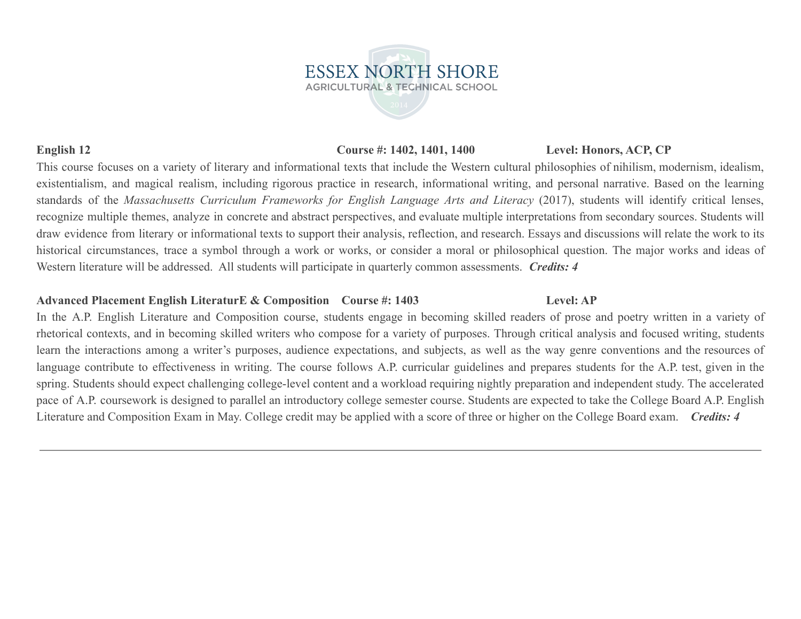## **English 12 Course #: 1402, 1401, 1400 Level: Honors, ACP, CP**

This course focuses on a variety of literary and informational texts that include the Western cultural philosophies of nihilism, modernism, idealism, existentialism, and magical realism, including rigorous practice in research, informational writing, and personal narrative. Based on the learning standards of the *Massachusetts Curriculum Frameworks for English Language Arts and Literacy* (2017), students will identify critical lenses, recognize multiple themes, analyze in concrete and abstract perspectives, and evaluate multiple interpretations from secondary sources. Students will draw evidence from literary or informational texts to support their analysis, reflection, and research. Essays and discussions will relate the work to its historical circumstances, trace a symbol through a work or works, or consider a moral or philosophical question. The major works and ideas of Western literature will be addressed. All students will participate in quarterly common assessments. *Credits: 4*

## **Advanced Placement English LiteraturE & Composition Course #: 1403 Level: AP**

In the A.P. English Literature and Composition course, students engage in becoming skilled readers of prose and poetry written in a variety of rhetorical contexts, and in becoming skilled writers who compose for a variety of purposes. Through critical analysis and focused writing, students learn the interactions among a writer's purposes, audience expectations, and subjects, as well as the way genre conventions and the resources of language contribute to effectiveness in writing. The course follows A.P. curricular guidelines and prepares students for the A.P. test, given in the spring. Students should expect challenging college-level content and a workload requiring nightly preparation and independent study. The accelerated pace of A.P. coursework is designed to parallel an introductory college semester course. Students are expected to take the College Board A.P. English Literature and Composition Exam in May. College credit may be applied with a score of three or higher on the College Board exam. *Credits: 4*

**ESSEX NORTH SHORE AGRICULTURAL & TECHNICAL SCHOOL**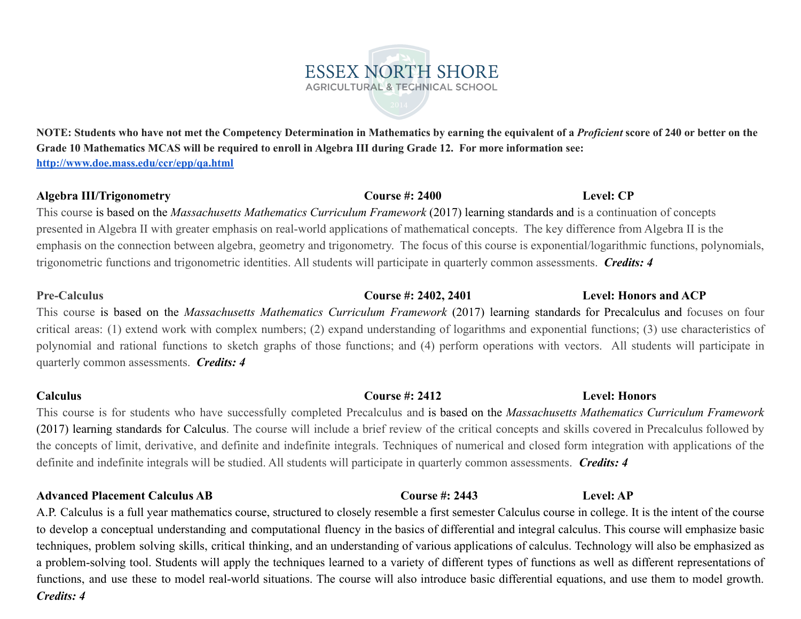## NOTE: Students who have not met the Competency Determination in Mathematics by earning the equivalent of a *Proficient* score of 240 or better on the Grade 10 Mathematics MCAS will be required to enroll in Algebra III during Grade 12. For more information see: **<http://www.doe.mass.edu/ccr/epp/qa.html>**

**ESSEX NORTH SHORE AGRICULTURAL & TECHNICAL SCHOOL** 

## **Algebra III/Trigonometry Course #: 2400 Level: CP**

This course is based on the *Massachusetts Mathematics Curriculum Framework* (2017) learning standards and is a continuation of concepts presented in Algebra II with greater emphasis on real-world applications of mathematical concepts. The key difference from Algebra II is the emphasis on the connection between algebra, geometry and trigonometry. The focus of this course is exponential/logarithmic functions, polynomials, trigonometric functions and trigonometric identities. All students will participate in quarterly common assessments. *Credits: 4*

# **Pre-Calculus Course #: 2402, 2401 Level: Honors and ACP**

This course is based on the *Massachusetts Mathematics Curriculum Framework* (2017) learning standards for Precalculus and focuses on four critical areas: (1) extend work with complex numbers; (2) expand understanding of logarithms and exponential functions; (3) use characteristics of polynomial and rational functions to sketch graphs of those functions; and (4) perform operations with vectors. All students will participate in quarterly common assessments. *Credits: 4*

**Calculus Course #: 2412 Level: Honors** This course is for students who have successfully completed Precalculus and is based on the *Massachusetts Mathematics Curriculum Framework* (2017) learning standards for Calculus. The course will include a brief review of the critical concepts and skills covered in Precalculus followed by the concepts of limit, derivative, and definite and indefinite integrals. Techniques of numerical and closed form integration with applications of the definite and indefinite integrals will be studied. All students will participate in quarterly common assessments. *Credits: 4*

**Advanced Placement Calculus AB Course #: 2443 Level: AP** A.P. Calculus is a full year mathematics course, structured to closely resemble a first semester Calculus course in college. It is the intent of the course to develop a conceptual understanding and computational fluency in the basics of differential and integral calculus. This course will emphasize basic techniques, problem solving skills, critical thinking, and an understanding of various applications of calculus. Technology will also be emphasized as a problem-solving tool. Students will apply the techniques learned to a variety of different types of functions as well as different representations of functions, and use these to model real-world situations. The course will also introduce basic differential equations, and use them to model growth. *Credits: 4*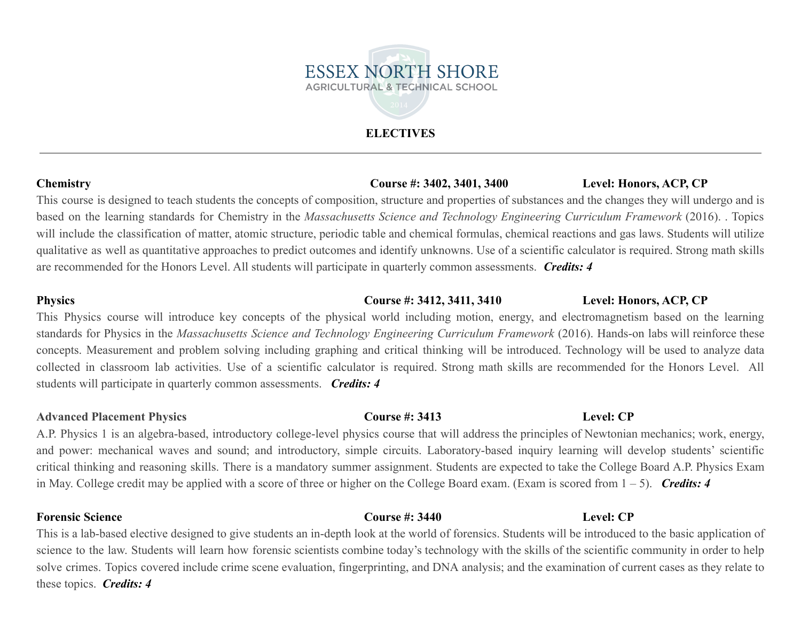# **ELECTIVES**

## **Chemistry Course #: 3402, 3401, 3400 Level: Honors, ACP, CP**

This course is designed to teach students the concepts of composition, structure and properties of substances and the changes they will undergo and is based on the learning standards for Chemistry in the *Massachusetts Science and Technology Engineering Curriculum Framework* (2016). . Topics will include the classification of matter, atomic structure, periodic table and chemical formulas, chemical reactions and gas laws. Students will utilize qualitative as well as quantitative approaches to predict outcomes and identify unknowns. Use of a scientific calculator is required. Strong math skills are recommended for the Honors Level. All students will participate in quarterly common assessments. *Credits: 4*

## **Physics Course #: 3412, 3411, 3410 Level: Honors, ACP, CP**

This Physics course will introduce key concepts of the physical world including motion, energy, and electromagnetism based on the learning standards for Physics in the *Massachusetts Science and Technology Engineering Curriculum Framework* (2016). Hands-on labs will reinforce these concepts. Measurement and problem solving including graphing and critical thinking will be introduced. Technology will be used to analyze data collected in classroom lab activities. Use of a scientific calculator is required. Strong math skills are recommended for the Honors Level. All students will participate in quarterly common assessments. *Credits: 4*

## **Advanced Placement Physics Course #: 3413 Level: CP**

A.P. Physics 1 is an algebra-based, introductory college-level physics course that will address the principles of Newtonian mechanics; work, energy, and power: mechanical waves and sound; and introductory, simple circuits. Laboratory-based inquiry learning will develop students' scientific critical thinking and reasoning skills. There is a mandatory summer assignment. Students are expected to take the College Board A.P. Physics Exam in May. College credit may be applied with a score of three or higher on the College Board exam. (Exam is scored from 1 – 5). *Credits: 4*

**Forensic Science Course #: 3440 Level: CP**

This is a lab-based elective designed to give students an in-depth look at the world of forensics. Students will be introduced to the basic application of science to the law. Students will learn how forensic scientists combine today's technology with the skills of the scientific community in order to help solve crimes. Topics covered include crime scene evaluation, fingerprinting, and DNA analysis; and the examination of current cases as they relate to these topics. *Credits: 4*

# **ESSEX NORTH SHORE AGRICULTURAL & TECHNICAL SCHOOL**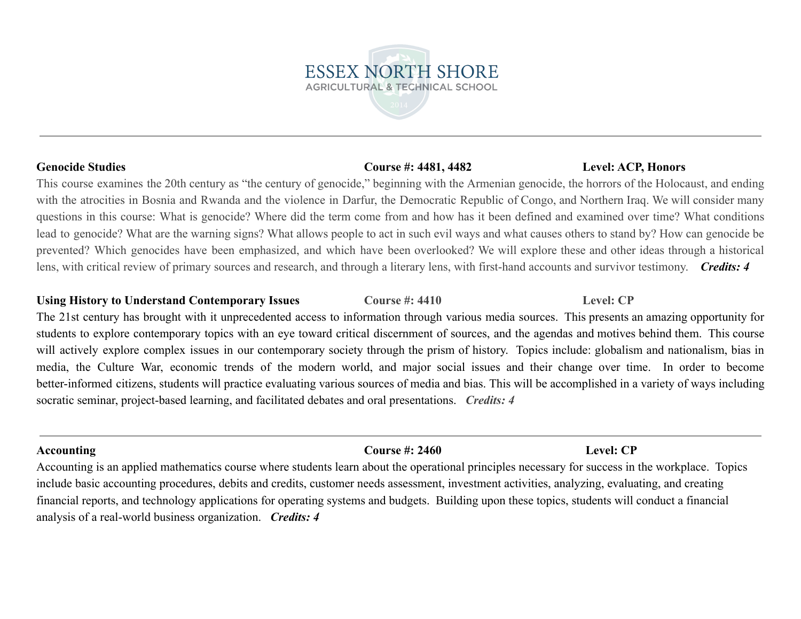This course examines the 20th century as "the century of genocide," beginning with the Armenian genocide, the horrors of the Holocaust, and ending with the atrocities in Bosnia and Rwanda and the violence in Darfur, the Democratic Republic of Congo, and Northern Iraq. We will consider many questions in this course: What is genocide? Where did the term come from and how has it been defined and examined over time? What conditions lead to genocide? What are the warning signs? What allows people to act in such evil ways and what causes others to stand by? How can genocide be prevented? Which genocides have been emphasized, and which have been overlooked? We will explore these and other ideas through a historical lens, with critical review of primary sources and research, and through a literary lens, with first-hand accounts and survivor testimony. *Credits: 4*

## Using History to Understand Contemporary Issues **Course #: 4410 Level: CP**

The 21st century has brought with it unprecedented access to information through various media sources. This presents an amazing opportunity for students to explore contemporary topics with an eye toward critical discernment of sources, and the agendas and motives behind them. This course will actively explore complex issues in our contemporary society through the prism of history. Topics include: globalism and nationalism, bias in media, the Culture War, economic trends of the modern world, and major social issues and their change over time. In order to become better-informed citizens, students will practice evaluating various sources of media and bias. This will be accomplished in a variety of ways including socratic seminar, project-based learning, and facilitated debates and oral presentations. *Credits: 4*

Accounting is an applied mathematics course where students learn about the operational principles necessary for success in the workplace. Topics include basic accounting procedures, debits and credits, customer needs assessment, investment activities, analyzing, evaluating, and creating financial reports, and technology applications for operating systems and budgets. Building upon these topics, students will conduct a financial analysis of a real-world business organization. *Credits: 4*

# **Genocide Studies Course #: 4481, 4482 Level: ACP, Honors**

**Accounting Course #: 2460 Level: CP**